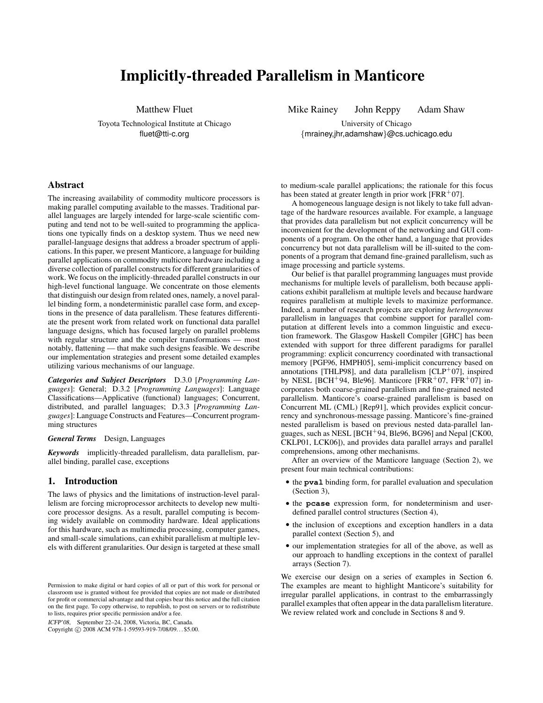# Implicitly-threaded Parallelism in Manticore

Matthew Fluet

Toyota Technological Institute at Chicago fluet@tti-c.org

Mike Rainey John Reppy Adam Shaw

University of Chicago {mrainey,jhr,adamshaw}@cs.uchicago.edu

# Abstract

The increasing availability of commodity multicore processors is making parallel computing available to the masses. Traditional parallel languages are largely intended for large-scale scientific computing and tend not to be well-suited to programming the applications one typically finds on a desktop system. Thus we need new parallel-language designs that address a broader spectrum of applications. In this paper, we present Manticore, a language for building parallel applications on commodity multicore hardware including a diverse collection of parallel constructs for different granularities of work. We focus on the implicitly-threaded parallel constructs in our high-level functional language. We concentrate on those elements that distinguish our design from related ones, namely, a novel parallel binding form, a nondeterministic parallel case form, and exceptions in the presence of data parallelism. These features differentiate the present work from related work on functional data parallel language designs, which has focused largely on parallel problems with regular structure and the compiler transformations — most notably, flattening — that make such designs feasible. We describe our implementation strategies and present some detailed examples utilizing various mechanisms of our language.

*Categories and Subject Descriptors* D.3.0 [*Programming Languages*]: General; D.3.2 [*Programming Languages*]: Language Classifications—Applicative (functional) languages; Concurrent, distributed, and parallel languages; D.3.3 [*Programming Languages*]: Language Constructs and Features—Concurrent programming structures

## *General Terms* Design, Languages

*Keywords* implicitly-threaded parallelism, data parallelism, parallel binding, parallel case, exceptions

## 1. Introduction

The laws of physics and the limitations of instruction-level parallelism are forcing microprocessor architects to develop new multicore processor designs. As a result, parallel computing is becoming widely available on commodity hardware. Ideal applications for this hardware, such as multimedia processing, computer games, and small-scale simulations, can exhibit parallelism at multiple levels with different granularities. Our design is targeted at these small

ICFP'08, September 22–24, 2008, Victoria, BC, Canada.

Copyright © 2008 ACM 978-1-59593-919-7/08/09... \$5.00.

to medium-scale parallel applications; the rationale for this focus has been stated at greater length in prior work  $[FRR<sup>+</sup>07]$ .

A homogeneous language design is not likely to take full advantage of the hardware resources available. For example, a language that provides data parallelism but not explicit concurrency will be inconvenient for the development of the networking and GUI components of a program. On the other hand, a language that provides concurrency but not data parallelism will be ill-suited to the components of a program that demand fine-grained parallelism, such as image processing and particle systems.

Our belief is that parallel programming languages must provide mechanisms for multiple levels of parallelism, both because applications exhibit parallelism at multiple levels and because hardware requires parallelism at multiple levels to maximize performance. Indeed, a number of research projects are exploring *heterogeneous* parallelism in languages that combine support for parallel computation at different levels into a common linguistic and execution framework. The Glasgow Haskell Compiler [GHC] has been extended with support for three different paradigms for parallel programming: explicit concurrency coordinated with transactional memory [PGF96, HMPH05], semi-implicit concurrency based on annotations [THLP98], and data parallelism [ $CLP<sup>+</sup>07$ ], inspired by NESL [BCH<sup>+</sup>94, Ble96]. Manticore [FRR<sup>+</sup>07, FFR<sup>+</sup>07] incorporates both coarse-grained parallelism and fine-grained nested parallelism. Manticore's coarse-grained parallelism is based on Concurrent ML (CML) [Rep91], which provides explicit concurrency and synchronous-message passing. Manticore's fine-grained nested parallelism is based on previous nested data-parallel languages, such as NESL [BCH<sup>+</sup>94, Ble96, BG96] and Nepal [CK00, CKLP01, LCK06]), and provides data parallel arrays and parallel comprehensions, among other mechanisms.

After an overview of the Manticore language (Section 2), we present four main technical contributions:

- the **pval** binding form, for parallel evaluation and speculation (Section 3),
- the **pcase** expression form, for nondeterminism and userdefined parallel control structures (Section 4),
- the inclusion of exceptions and exception handlers in a data parallel context (Section 5), and
- our implementation strategies for all of the above, as well as our approach to handling exceptions in the context of parallel arrays (Section 7).

We exercise our design on a series of examples in Section 6. The examples are meant to highlight Manticore's suitability for irregular parallel applications, in contrast to the embarrassingly parallel examples that often appear in the data parallelism literature. We review related work and conclude in Sections 8 and 9.

Permission to make digital or hard copies of all or part of this work for personal or classroom use is granted without fee provided that copies are not made or distributed for profit or commercial advantage and that copies bear this notice and the full citation on the first page. To copy otherwise, to republish, to post on servers or to redistribute to lists, requires prior specific permission and/or a fee.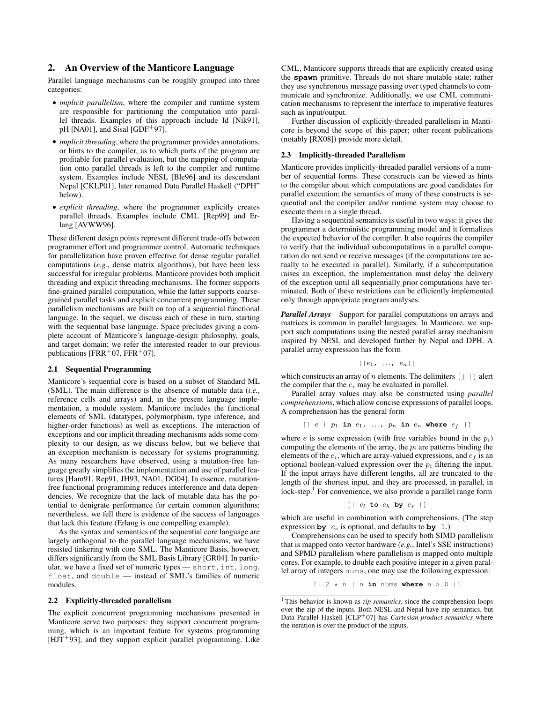# 2. An Overview of the Manticore Language

Parallel language mechanisms can be roughly grouped into three categories:

- *implicit parallelism*, where the compiler and runtime system are responsible for partitioning the computation into parallel threads. Examples of this approach include Id [Nik91], pH [NA01], and Sisal  $[GDF<sup>+</sup>97]$ .
- *implicit threading*, where the programmer provides annotations, or hints to the compiler, as to which parts of the program are profitable for parallel evaluation, but the mapping of computation onto parallel threads is left to the compiler and runtime system. Examples include NESL [Ble96] and its descendant Nepal [CKLP01], later renamed Data Parallel Haskell ("DPH" below).
- *explicit threading*, where the programmer explicitly creates parallel threads. Examples include CML [Rep99] and Erlang [AVWW96].

These different design points represent different trade-offs between programmer effort and programmer control. Automatic techniques for parallelization have proven effective for dense regular parallel computations (*e.g.*, dense matrix algorithms), but have been less successful for irregular problems. Manticore provides both implicit threading and explicit threading mechanisms. The former supports fine-grained parallel computation, while the latter supports coarsegrained parallel tasks and explicit concurrent programming. These parallelism mechanisms are built on top of a sequential functional language. In the sequel, we discuss each of these in turn, starting with the sequential base language. Space precludes giving a complete account of Manticore's language-design philosophy, goals, and target domain; we refer the interested reader to our previous publications [ $FRR+07$ ,  $FFR+07$ ].

#### 2.1 Sequential Programming

Manticore's sequential core is based on a subset of Standard ML (SML). The main difference is the absence of mutable data (*i.e.*, reference cells and arrays) and, in the present language implementation, a module system. Manticore includes the functional elements of SML (datatypes, polymorphism, type inference, and higher-order functions) as well as exceptions. The interaction of exceptions and our implicit threading mechanisms adds some complexity to our design, as we discuss below, but we believe that an exception mechanism is necessary for systems programming. As many researchers have observed, using a mutation-free language greatly simplifies the implementation and use of parallel features [Ham91, Rep91, JH93, NA01, DG04]. In essence, mutationfree functional programming reduces interference and data dependencies. We recognize that the lack of mutable data has the potential to denigrate performance for certain common algorithms; nevertheless, we fell there is evidence of the success of languages that lack this feature (Erlang is one compelling example).

As the syntax and semantics of the sequential core language are largely orthogonal to the parallel language mechanisms, we have resisted tinkering with core SML. The Manticore Basis, however, differs significantly from the SML Basis Library [GR04]. In particular, we have a fixed set of numeric types — short, int, long, float, and double — instead of SML's families of numeric modules.

## 2.2 Explicitly-threaded parallelism

The explicit concurrent programming mechanisms presented in Manticore serve two purposes: they support concurrent programming, which is an important feature for systems programming  $[HJT+93]$ , and they support explicit parallel programming. Like CML, Manticore supports threads that are explicitly created using the **spawn** primitive. Threads do not share mutable state; rather they use synchronous message passing over typed channels to communicate and synchronize. Additionally, we use CML communication mechanisms to represent the interface to imperative features such as input/output.

Further discussion of explicitly-threaded parallelism in Manticore is beyond the scope of this paper; other recent publications (notably [RX08]) provide more detail.

## 2.3 Implicitly-threaded Parallelism

Manticore provides implicitly-threaded parallel versions of a number of sequential forms. These constructs can be viewed as hints to the compiler about which computations are good candidates for parallel execution; the semantics of many of these constructs is sequential and the compiler and/or runtime system may choose to execute them in a single thread.

Having a sequential semantics is useful in two ways: it gives the programmer a deterministic programming model and it formalizes the expected behavior of the compiler. It also requires the compiler to verify that the individual subcomputations in a parallel computation do not send or receive messages (if the computations are actually to be executed in parallel). Similarly, if a subcomputation raises an exception, the implementation must delay the delivery of the exception until all sequentially prior computations have terminated. Both of these restrictions can be efficiently implemented only through appropriate program analyses.

*Parallel Arrays* Support for parallel computations on arrays and matrices is common in parallel languages. In Manticore, we support such computations using the nested parallel array mechanism inspired by NESL and developed further by Nepal and DPH. A parallel array expression has the form

$$
[ |e_1, \ldots, e_n| ]
$$

which constructs an array of *n* elements. The delimiters  $[ \ | \ ]$  alert the compiler that the  $e_i$  may be evaluated in parallel.

Parallel array values may also be constructed using *parallel comprehensions*, which allow concise expressions of parallel loops. A comprehension has the general form

$$
[ | e | p_1 \text{ in } e_1, \ldots, p_n \text{ in } e_n \text{ where } e_f | ]
$$

where *e* is some expression (with free variables bound in the  $p_i$ ) computing the elements of the array, the  $p_i$  are patterns binding the elements of the  $e_i$ , which are array-valued expressions, and  $e_f$  is an optional boolean-valued expression over the  $p_i$  filtering the input. If the input arrays have different lengths, all are truncated to the length of the shortest input, and they are processed, in parallel, in lock-step.<sup>1</sup> For convenience, we also provide a parallel range form

$$
[ \ \vert \ \ e_l \ \ \texttt{to} \ \ e_h \ \ \texttt{by} \ \ e_s \ \ \vert \ ]
$$

which are useful in combination with comprehensions. (The step expression **by**  $e_s$  is optional, and defaults to **by** 1.)

Comprehensions can be used to specify both SIMD parallelism that is mapped onto vector hardware (*e.g.*, Intel's SSE instructions) and SPMD parallelism where parallelism is mapped onto multiple cores. For example, to double each positive integer in a given parallel array of integers nums, one may use the following expression:

```
[| 2 * n | n in nums where n > 0 |]
```
<sup>&</sup>lt;sup>1</sup> This behavior is known as *zip semantics*, since the comprehension loops over the zip of the inputs. Both NESL and Nepal have zip semantics, but Data Parallel Haskell [CLP<sup>+</sup>07] has *Cartesian-product semantics* where the iteration is over the product of the inputs.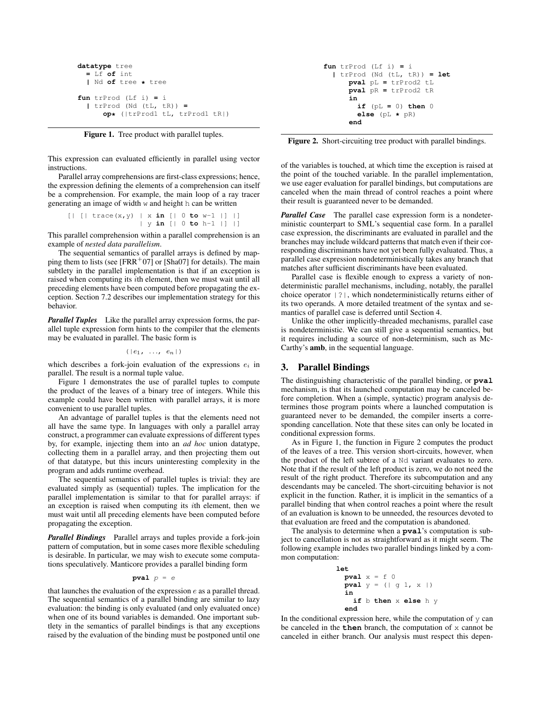```
datatype tree
  = Lf of int
  | Nd of tree * tree
fun trProd (Lf i) = i
  | trProd (Nd (tL, tR)) =
      op* (|trProd1 tL, trProd1 tR|)
```
Figure 1. Tree product with parallel tuples.

This expression can evaluated efficiently in parallel using vector instructions.

Parallel array comprehensions are first-class expressions; hence, the expression defining the elements of a comprehension can itself be a comprehension. For example, the main loop of a ray tracer generating an image of width w and height h can be written

[| [| trace(x,y) | x **in** [| 0 **to** w-1 |] |] | y **in** [| 0 **to** h-1 |] |]

This parallel comprehension within a parallel comprehension is an example of *nested data parallelism*.

The sequential semantics of parallel arrays is defined by mapping them to lists (see [ $FRR<sup>+</sup>07$ ] or [Sha07] for details). The main subtlety in the parallel implementation is that if an exception is raised when computing its ith element, then we must wait until all preceding elements have been computed before propagating the exception. Section 7.2 describes our implementation strategy for this behavior.

*Parallel Tuples* Like the parallel array expression forms, the parallel tuple expression form hints to the compiler that the elements may be evaluated in parallel. The basic form is

$$
(\,|\,e_1,\;\; \ldots,\;\;e_n\,|\,)
$$

which describes a fork-join evaluation of the expressions  $e_i$  in parallel. The result is a normal tuple value.

Figure 1 demonstrates the use of parallel tuples to compute the product of the leaves of a binary tree of integers. While this example could have been written with parallel arrays, it is more convenient to use parallel tuples.

An advantage of parallel tuples is that the elements need not all have the same type. In languages with only a parallel array construct, a programmer can evaluate expressions of different types by, for example, injecting them into an *ad hoc* union datatype, collecting them in a parallel array, and then projecting them out of that datatype, but this incurs uninteresting complexity in the program and adds runtime overhead.

The sequential semantics of parallel tuples is trivial: they are evaluated simply as (sequential) tuples. The implication for the parallel implementation is similar to that for parallel arrays: if an exception is raised when computing its ith element, then we must wait until all preceding elements have been computed before propagating the exception.

*Parallel Bindings* Parallel arrays and tuples provide a fork-join pattern of computation, but in some cases more flexible scheduling is desirable. In particular, we may wish to execute some computations speculatively. Manticore provides a parallel binding form

#### **pval**  $p = e$

that launches the evaluation of the expression  $e$  as a parallel thread. The sequential semantics of a parallel binding are similar to lazy evaluation: the binding is only evaluated (and only evaluated once) when one of its bound variables is demanded. One important subtlety in the semantics of parallel bindings is that any exceptions raised by the evaluation of the binding must be postponed until one

```
fun trProd (Lf i) = i
  | trProd (Nd (tL, tR)) = let
      pval pL = trProd2 tL
      pval pR = trProd2 tR
      in
        if (pL = 0) then 0
        else (pL * pR)
      end
```
Figure 2. Short-circuiting tree product with parallel bindings.

of the variables is touched, at which time the exception is raised at the point of the touched variable. In the parallel implementation, we use eager evaluation for parallel bindings, but computations are canceled when the main thread of control reaches a point where their result is guaranteed never to be demanded.

*Parallel Case* The parallel case expression form is a nondeterministic counterpart to SML's sequential case form. In a parallel case expression, the discriminants are evaluated in parallel and the branches may include wildcard patterns that match even if their corresponding discriminants have not yet been fully evaluated. Thus, a parallel case expression nondeterministically takes any branch that matches after sufficient discriminants have been evaluated.

Parallel case is flexible enough to express a variety of nondeterministic parallel mechanisms, including, notably, the parallel choice operator |?|, which nondeterministically returns either of its two operands. A more detailed treatment of the syntax and semantics of parallel case is deferred until Section 4.

Unlike the other implicitly-threaded mechanisms, parallel case is nondeterministic. We can still give a sequential semantics, but it requires including a source of non-determinism, such as Mc-Carthy's amb, in the sequential language.

## 3. Parallel Bindings

The distinguishing characteristic of the parallel binding, or **pval** mechanism, is that its launched computation may be canceled before completion. When a (simple, syntactic) program analysis determines those program points where a launched computation is guaranteed never to be demanded, the compiler inserts a corresponding cancellation. Note that these sites can only be located in conditional expression forms.

As in Figure 1, the function in Figure 2 computes the product of the leaves of a tree. This version short-circuits, however, when the product of the left subtree of a Nd variant evaluates to zero. Note that if the result of the left product is zero, we do not need the result of the right product. Therefore its subcomputation and any descendants may be canceled. The short-circuiting behavior is not explicit in the function. Rather, it is implicit in the semantics of a parallel binding that when control reaches a point where the result of an evaluation is known to be unneeded, the resources devoted to that evaluation are freed and the computation is abandoned.

The analysis to determine when a **pval**'s computation is subject to cancellation is not as straightforward as it might seem. The following example includes two parallel bindings linked by a common computation:

let

\n
$$
\begin{aligned}\n\text{pval } x &= f \quad 0 \\
\text{pval } y &= (| g 1, x |) \\
\text{in} \\
\text{if } b \text{ then } x \text{ else } h \text{ y} \\
\text{end}\n\end{aligned}
$$

In the conditional expression here, while the computation of  $\gamma$  can be canceled in the **then** branch, the computation of x cannot be canceled in either branch. Our analysis must respect this depen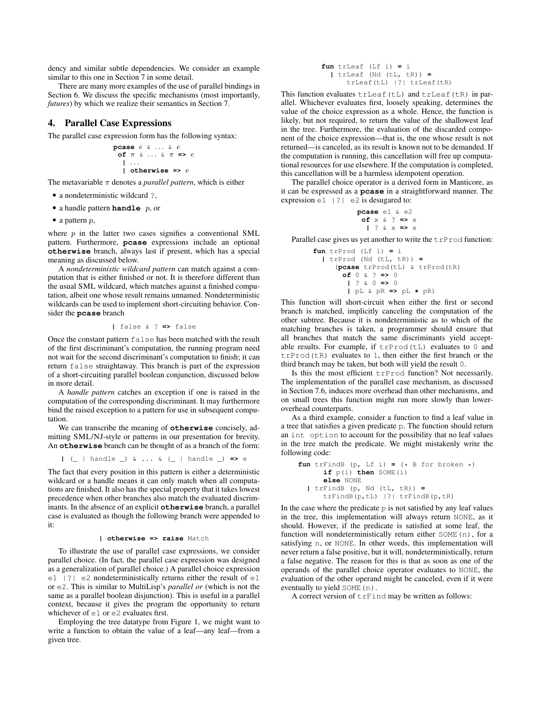dency and similar subtle dependencies. We consider an example similar to this one in Section 7 in some detail.

There are many more examples of the use of parallel bindings in Section 6. We discuss the specific mechanisms (most importantly, *futures*) by which we realize their semantics in Section 7.

### 4. Parallel Case Expressions

The parallel case expression form has the following syntax:

| pcase | $e$   | $\ldots$ | $e$       |               |               |     |
|-------|-------|----------|-----------|---------------|---------------|-----|
| of    | $\pi$ | $\ell$   | $\ldots$  | $\pi$         | $\Rightarrow$ | $e$ |
|       | ...   |          | otherwise | $\Rightarrow$ | $e$           |     |

The metavariable  $\pi$  denotes a *parallel pattern*, which is either

- a nondeterministic wildcard ?,
- a handle pattern **handle** p, or
- a pattern  $p$ ,

where  $p$  in the latter two cases signifies a conventional SML pattern. Furthermore, **pcase** expressions include an optional **otherwise** branch, always last if present, which has a special meaning as discussed below.

A *nondeterministic wildcard pattern* can match against a computation that is either finished or not. It is therefore different than the usual SML wildcard, which matches against a finished computation, albeit one whose result remains unnamed. Nondeterministic wildcards can be used to implement short-circuiting behavior. Consider the **pcase** branch

#### **|** false & ? **=>** false

Once the constant pattern false has been matched with the result of the first discriminant's computation, the running program need not wait for the second discriminant's computation to finish; it can return false straightaway. This branch is part of the expression of a short-circuiting parallel boolean conjunction, discussed below in more detail.

A *handle pattern* catches an exception if one is raised in the computation of the corresponding discriminant. It may furthermore bind the raised exception to a pattern for use in subsequent computation.

We can transcribe the meaning of **otherwise** concisely, admitting SML/NJ-style or patterns in our presentation for brevity. An **otherwise** branch can be thought of as a branch of the form:

$$
| (- |
$$
 handle  $_-)$  & ... &  $( - |$  handle  $_-)$  =& > e

The fact that every position in this pattern is either a deterministic wildcard or a handle means it can only match when all computations are finished. It also has the special property that it takes lowest precedence when other branches also match the evaluated discriminants. In the absence of an explicit **otherwise** branch, a parallel case is evaluated as though the following branch were appended to it:

#### **| otherwise => raise** Match

To illustrate the use of parallel case expressions, we consider parallel choice. (In fact, the parallel case expression was designed as a generalization of parallel choice.) A parallel choice expression e1 |?| e2 nondeterministically returns either the result of  $e1$ or e2. This is similar to MultiLisp's *parallel or* (which is not the same as a parallel boolean disjunction). This is useful in a parallel context, because it gives the program the opportunity to return whichever of e1 or e2 evaluates first.

Employing the tree datatype from Figure 1, we might want to write a function to obtain the value of a leaf—any leaf—from a given tree.

**fun** trLeaf (Lf i) **=** i **|** trLeaf (Nd (tL, tR)) **=** trLeaf(tL) |?| trLeaf(tR)

This function evaluates  $trLeaf(tL)$  and  $trLeaf(tR)$  in parallel. Whichever evaluates first, loosely speaking, determines the value of the choice expression as a whole. Hence, the function is likely, but not required, to return the value of the shallowest leaf in the tree. Furthermore, the evaluation of the discarded component of the choice expression—that is, the one whose result is not returned—is canceled, as its result is known not to be demanded. If the computation is running, this cancellation will free up computational resources for use elsewhere. If the computation is completed, this cancellation will be a harmless idempotent operation.

The parallel choice operator is a derived form in Manticore, as it can be expressed as a **pcase** in a straightforward manner. The expression  $e1 \mid ? \mid e2$  is desugared to:

**pcase** el & e2  
**of** x & ? => x  

$$
\qquad \qquad | \quad ? \quad & x \Rightarrow x
$$

Parallel case gives us yet another to write the  $\text{tr}\text{Prod}$  function:

**fun** trProd (Lf i) **=** i **|** trProd (Nd (tL, tR)) **=** (**pcase** trProd(tL) & trProd(tR) **of** 0 & ? **=>** 0 **|** ? & 0 **=>** 0 **|** pL & pR **=>** pL **\*** pR)

This function will short-circuit when either the first or second branch is matched, implicitly canceling the computation of the other subtree. Because it is nondeterministic as to which of the matching branches is taken, a programmer should ensure that all branches that match the same discriminants yield acceptable results. For example, if  $trProd(tL)$  evaluates to 0 and trProd(tR) evaluates to 1, then either the first branch or the third branch may be taken, but both will yield the result 0.

Is this the most efficient trProd function? Not necessarily. The implementation of the parallel case mechanism, as discussed in Section 7.6, induces more overhead than other mechanisms, and on small trees this function might run more slowly than loweroverhead counterparts.

As a third example, consider a function to find a leaf value in a tree that satisfies a given predicate p. The function should return an int option to account for the possibility that no leaf values in the tree match the predicate. We might mistakenly write the following code:

```
fun trFindB (p, Lf i) = (* B for broken *)if p(i) then SOME(i)
     else NONE
  | trFindB (p, Nd (tL, tR)) =
     trFindB(p,tL) |?| trFindB(p,tR)
```
In the case where the predicate  $p$  is not satisfied by any leaf values in the tree, this implementation will always return NONE, as it should. However, if the predicate is satisfied at some leaf, the function will nondeterministically return either SOME(n), for a satisfying n, or NONE. In other words, this implementation will never return a false positive, but it will, nondeterministically, return a false negative. The reason for this is that as soon as one of the operands of the parallel choice operator evaluates to NONE, the evaluation of the other operand might be canceled, even if it were eventually to yield SOME (n).

A correct version of trFind may be written as follows: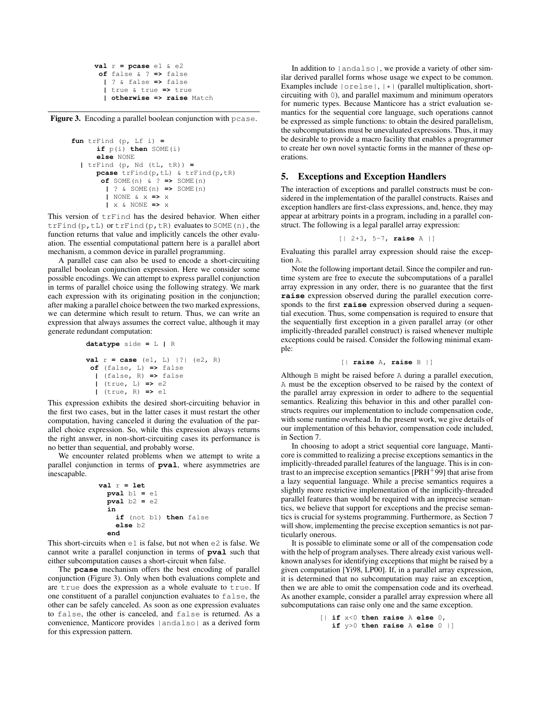```
val r = pcase e1 \& e2of false & ? => false
  | ? & false => false
  | true & true => true
  | otherwise => raise Match
```
Figure 3. Encoding a parallel boolean conjunction with pcase.

```
fun trFind (p, Lf i) =
      if p(i) then SOME(i)
     else NONE
 | trFind (p, Nd (tL, tR)) =
     pcase trFind(p,tL) & trFind(p,tR)
      of SOME(n) & ? => SOME(n)
       | ? & SOME(n) => SOME(n)
        | NONE & x => x
        | x & NONE => x
```
This version of trFind has the desired behavior. When either trFind(p,tL) or trFind(p,tR) evaluates to SOME(n), the function returns that value and implicitly cancels the other evaluation. The essential computational pattern here is a parallel abort mechanism, a common device in parallel programming.

A parallel case can also be used to encode a short-circuiting parallel boolean conjunction expression. Here we consider some possible encodings. We can attempt to express parallel conjunction in terms of parallel choice using the following strategy. We mark each expression with its originating position in the conjunction; after making a parallel choice between the two marked expressions, we can determine which result to return. Thus, we can write an expression that always assumes the correct value, although it may generate redundant computation:

```
datatype side = L | R
val r = case (e1, L) |?| (e2, R)
of (false, L) => false
 | (false, R) => false
  | (true, L) => e2
  | (true, R) => e1
```
This expression exhibits the desired short-circuiting behavior in the first two cases, but in the latter cases it must restart the other computation, having canceled it during the evaluation of the parallel choice expression. So, while this expression always returns the right answer, in non-short-circuiting cases its performance is no better than sequential, and probably worse.

We encounter related problems when we attempt to write a parallel conjunction in terms of **pval**, where asymmetries are inescapable.

```
val r = let
  pval b1 = e1
  pval b2 = e2in
    if (not b1) then false
    else b2
  end
```
This short-circuits when  $e1$  is false, but not when  $e2$  is false. We cannot write a parallel conjunction in terms of **pval** such that either subcomputation causes a short-circuit when false.

The **pcase** mechanism offers the best encoding of parallel conjunction (Figure 3). Only when both evaluations complete and are true does the expression as a whole evaluate to true. If one constituent of a parallel conjunction evaluates to false, the other can be safely canceled. As soon as one expression evaluates to false, the other is canceled, and false is returned. As a convenience, Manticore provides |andalso| as a derived form for this expression pattern.

In addition to | andalso|, we provide a variety of other similar derived parallel forms whose usage we expect to be common. Examples include |orelse|, |\*| (parallel multiplication, shortcircuiting with 0), and parallel maximum and minimum operators for numeric types. Because Manticore has a strict evaluation semantics for the sequential core language, such operations cannot be expressed as simple functions: to obtain the desired parallelism, the subcomputations must be unevaluated expressions. Thus, it may be desirable to provide a macro facility that enables a programmer to create her own novel syntactic forms in the manner of these operations.

## 5. Exceptions and Exception Handlers

The interaction of exceptions and parallel constructs must be considered in the implementation of the parallel constructs. Raises and exception handlers are first-class expressions, and, hence, they may appear at arbitrary points in a program, including in a parallel construct. The following is a legal parallel array expression:

$$
[1 \ 2+3, 5-7, \text{raise A}]
$$

Evaluating this parallel array expression should raise the exception A.

Note the following important detail. Since the compiler and runtime system are free to execute the subcomputations of a parallel array expression in any order, there is no guarantee that the first **raise** expression observed during the parallel execution corresponds to the first **raise** expression observed during a sequential execution. Thus, some compensation is required to ensure that the sequentially first exception in a given parallel array (or other implicitly-threaded parallel construct) is raised whenever multiple exceptions could be raised. Consider the following minimal example:

$$
[ | \text{raise A, raise B} | ]
$$

Although B might be raised before A during a parallel execution, A must be the exception observed to be raised by the context of the parallel array expression in order to adhere to the sequential semantics. Realizing this behavior in this and other parallel constructs requires our implementation to include compensation code, with some runtime overhead. In the present work, we give details of our implementation of this behavior, compensation code included, in Section 7.

In choosing to adopt a strict sequential core language, Manticore is committed to realizing a precise exceptions semantics in the implicitly-threaded parallel features of the language. This is in contrast to an imprecise exception semantics [PRH<sup>+</sup>99] that arise from a lazy sequential language. While a precise semantics requires a slightly more restrictive implementation of the implicitly-threaded parallel features than would be required with an imprecise semantics, we believe that support for exceptions and the precise semantics is crucial for systems programming. Furthermore, as Section 7 will show, implementing the precise exception semantics is not particularly onerous.

It is possible to eliminate some or all of the compensation code with the help of program analyses. There already exist various wellknown analyses for identifying exceptions that might be raised by a given computation [Yi98, LP00]. If, in a parallel array expression, it is determined that no subcomputation may raise an exception, then we are able to omit the compensation code and its overhead. As another example, consider a parallel array expression where all subcomputations can raise only one and the same exception.

```
[| if x<0 then raise A else 0,
  if y>0 then raise A else 0 |]
```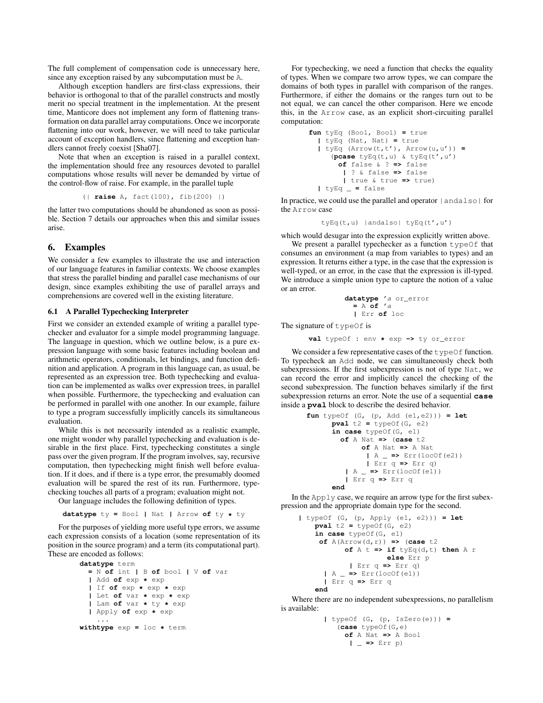The full complement of compensation code is unnecessary here, since any exception raised by any subcomputation must be A.

Although exception handlers are first-class expressions, their behavior is orthogonal to that of the parallel constructs and mostly merit no special treatment in the implementation. At the present time, Manticore does not implement any form of flattening transformation on data parallel array computations. Once we incorporate flattening into our work, however, we will need to take particular account of exception handlers, since flattening and exception handlers cannot freely coexist [Sha07].

Note that when an exception is raised in a parallel context, the implementation should free any resources devoted to parallel computations whose results will never be demanded by virtue of the control-flow of raise. For example, in the parallel tuple

```
(| raise A, fact(100), fib(200) |)
```
the latter two computations should be abandoned as soon as possible. Section 7 details our approaches when this and similar issues arise.

## 6. Examples

We consider a few examples to illustrate the use and interaction of our language features in familiar contexts. We choose examples that stress the parallel binding and parallel case mechanisms of our design, since examples exhibiting the use of parallel arrays and comprehensions are covered well in the existing literature.

## 6.1 A Parallel Typechecking Interpreter

First we consider an extended example of writing a parallel typechecker and evaluator for a simple model programming language. The language in question, which we outline below, is a pure expression language with some basic features including boolean and arithmetic operators, conditionals, let bindings, and function definition and application. A program in this language can, as usual, be represented as an expression tree. Both typechecking and evaluation can be implemented as walks over expression trees, in parallel when possible. Furthermore, the typechecking and evaluation can be performed in parallel with one another. In our example, failure to type a program successfully implicitly cancels its simultaneous evaluation.

While this is not necessarily intended as a realistic example, one might wonder why parallel typechecking and evaluation is desirable in the first place. First, typechecking constitutes a single pass over the given program. If the program involves, say, recursive computation, then typechecking might finish well before evaluation. If it does, and if there is a type error, the presumably doomed evaluation will be spared the rest of its run. Furthermore, typechecking touches all parts of a program; evaluation might not.

Our language includes the following definition of types. **datatype** ty **=** Bool **|** Nat **|** Arrow **of** ty **\*** ty

For the purposes of yielding more useful type errors, we assume each expression consists of a location (some representation of its position in the source program) and a term (its computational part). These are encoded as follows:

```
datatype term
  = N of int | B of bool | V of var
  | Add of exp * exp
  | If of exp * exp * exp
  | Let of var * exp * exp
  | Lam of var * ty * exp
  | Apply of exp * exp
    ...
withtype exp = loc * term
```
For typechecking, we need a function that checks the equality of types. When we compare two arrow types, we can compare the domains of both types in parallel with comparison of the ranges. Furthermore, if either the domains or the ranges turn out to be not equal, we can cancel the other comparison. Here we encode this, in the Arrow case, as an explicit short-circuiting parallel computation:

```
fun tyEq (Bool, Bool) = true
 | tyEq (Nat, Nat) = true
  | tyEq (Arrow(t,t'), Arrow(u,u')) =
     (pcase tyEq(t,u) & tyEq(t',u')
       of false & ? => false
        | ? & false => false
        | true & true => true)
  | tyEq _ = false
```
In practice, we could use the parallel and operator  $|$  andalso $|$  for the Arrow case

```
tyEq(t,u) |andalso| tyEq(t',u')
```
which would desugar into the expression explicitly written above.

We present a parallel typechecker as a function typeOf that consumes an environment (a map from variables to types) and an expression. It returns either a type, in the case that the expression is well-typed, or an error, in the case that the expression is ill-typed. We introduce a simple union type to capture the notion of a value or an error.

**datatype** 'a or\_error **=** A **of** 'a **|** Err **of** loc

The signature of typeOf is

**val** typeOf **:** env **\*** exp **->** ty or\_error

We consider a few representative cases of the  $\text{typeOf}$  function. To typecheck an Add node, we can simultaneously check both subexpressions. If the first subexpression is not of type Nat, we can record the error and implicitly cancel the checking of the second subexpression. The function behaves similarly if the first subexpression returns an error. Note the use of a sequential **case** inside a **pval** block to describe the desired behavior.

```
fun typeOf (G, (p, Add (e1,e2))) = let
      pval t2 = typeOf(G, e2)
      in case typeOf(G, e1)
        of A Nat => (case t2
             of A Nat => A Nat
              | A _ => Err(locOf(e2))
              | Err q => Err q)
         | A = > Err(locOf(e1))
         | Err q => Err q
      end
```
In the Apply case, we require an arrow type for the first subexpression and the appropriate domain type for the second.

```
| typeOf (G, (p, Apply (e1, e2))) = let
   pval t2 = typeOf(G, e2)in case typeOf(G, e1)
    of A(Arrow(d,r)) => (case t2
          of A t => if tyEq(d,t) then A r
                    else Err p
           | Err q => Err q)
      | A _ => Err(locOf(e1))
      | Err q => Err q
   end
```
Where there are no independent subexpressions, no parallelism is available:

```
| typeOf (G, (p, IsZero(e))) =
   (case typeOf(G,e)
    of A Nat => A Bool
     | _ => Err p)
```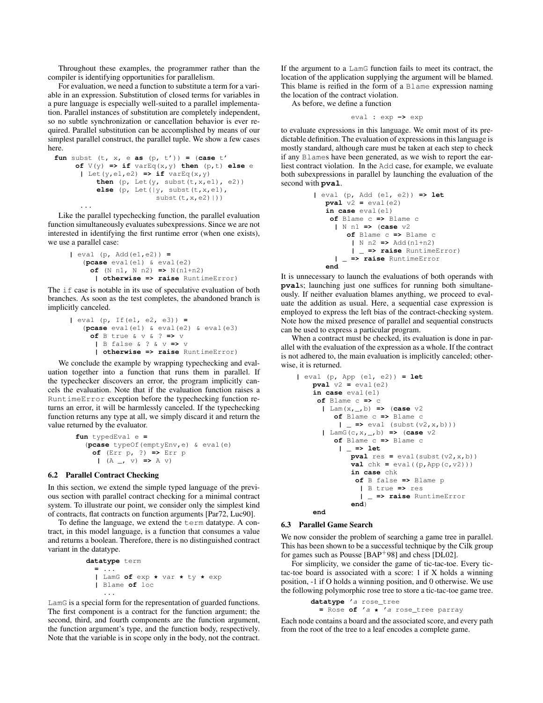Throughout these examples, the programmer rather than the compiler is identifying opportunities for parallelism.

For evaluation, we need a function to substitute a term for a variable in an expression. Substitution of closed terms for variables in a pure language is especially well-suited to a parallel implementation. Parallel instances of substitution are completely independent, so no subtle synchronization or cancellation behavior is ever required. Parallel substitution can be accomplished by means of our simplest parallel construct, the parallel tuple. We show a few cases here.

```
fun subst (t, x, e as (p, t')) = (case t'
      of V(y) => if varEq(x,y) then (p,t) else e
       \left| \right| Let(y,e1,e2) \Rightarrow if varEq(x,y)
           then (p, \text{Let}(y, \text{subst}(t, x, e1), e2))else (p, Let(|y, subst(t,x,e1),
                            subst(t,x,e2)|)...
```
Like the parallel typechecking function, the parallel evaluation function simultaneously evaluates subexpressions. Since we are not interested in identifying the first runtime error (when one exists), we use a parallel case:

```
| eval (p, Add(e1,e2)) =
   (pcase eval(e1) & eval(e2)
    of (N n1, N n2) => N(n1+n2)
      | otherwise => raise RuntimeError)
```
The  $if$  case is notable in its use of speculative evaluation of both branches. As soon as the test completes, the abandoned branch is implicitly canceled.

```
| eval (p, If(e1, e2, e3)) =
   (pcase eval(e1) & eval(e2) & eval(e3)
    of B true & v & ? => v
     | B false & ? & v => v
      | otherwise => raise RuntimeError)
```
We conclude the example by wrapping typechecking and evaluation together into a function that runs them in parallel. If the typechecker discovers an error, the program implicitly cancels the evaluation. Note that if the evaluation function raises a RuntimeError exception before the typechecking function returns an error, it will be harmlessly canceled. If the typechecking function returns any type at all, we simply discard it and return the value returned by the evaluator.

```
fun typedEval e =
  (pcase typeOf(emptyEnv,e) & eval(e)
    of (Err p, ?) => Err p
     | (A _, v) => A v)
```
#### 6.2 Parallel Contract Checking

In this section, we extend the simple typed language of the previous section with parallel contract checking for a minimal contract system. To illustrate our point, we consider only the simplest kind of contracts, flat contracts on function arguments [Par72, Luc90].

To define the language, we extend the term datatype. A contract, in this model language, is a function that consumes a value and returns a boolean. Therefore, there is no distinguished contract variant in the datatype.

```
datatype term
  = ...
  | LamG of exp * var * ty * exp
  | Blame of loc
    ...
```
LamG is a special form for the representation of guarded functions. The first component is a contract for the function argument; the second, third, and fourth components are the function argument, the function argument's type, and the function body, respectively. Note that the variable is in scope only in the body, not the contract. If the argument to a LamG function fails to meet its contract, the location of the application supplying the argument will be blamed. This blame is reified in the form of a Blame expression naming the location of the contract violation.

As before, we define a function

$$
\verb"eval : exp \rightarrow exp
$$

to evaluate expressions in this language. We omit most of its predictable definition. The evaluation of expressions in this language is mostly standard, although care must be taken at each step to check if any Blames have been generated, as we wish to report the earliest contract violation. In the Add case, for example, we evaluate both subexpressions in parallel by launching the evaluation of the second with **pval**.

```
| eval (p, Add (e1, e2)) => let
  pva1 v2 = eval(e2)in case eval (e1)
   of Blame c => Blame c
     | N n1 => (case v2
       of Blame c => Blame c
         | N n2 => Add(n1+n2)
         | _ => raise RuntimeError)
     | _ => raise RuntimeError
   end
```
It is unnecessary to launch the evaluations of both operands with **pval**s; launching just one suffices for running both simultaneously. If neither evaluation blames anything, we proceed to evaluate the addition as usual. Here, a sequential case expression is employed to express the left bias of the contract-checking system. Note how the mixed presence of parallel and sequential constructs can be used to express a particular program.

When a contract must be checked, its evaluation is done in parallel with the evaluation of the expression as a whole. If the contract is not adhered to, the main evaluation is implicitly canceled; otherwise, it is returned.

```
| eval (p, App (e1, e2)) = let
   pval v^2 = eval(e2)
    in case eval(e1)
    of Blame c => c
      | Lam(x,_,b) => (case v2
         of Blame c => Blame c
          | = \Rightarrow eval (subst(v2, x, b)))
      | LamG(c,x,_,b) => (case v2
         of Blame c => Blame c
          | _ => let
             pval res = eval(subst(v2, x, b))val chk = eval((p,App(c,v2)))
             in case chk
              of B false => Blame p
               | B true => res
                 | _ => raise RuntimeError
             end)
    end
```
### 6.3 Parallel Game Search

We now consider the problem of searching a game tree in parallel. This has been shown to be a successful technique by the Cilk group for games such as Pousse  $[BAP^+98]$  and chess  $[DL02]$ .

For simplicity, we consider the game of tic-tac-toe. Every tictac-toe board is associated with a score: 1 if X holds a winning position, -1 if O holds a winning position, and 0 otherwise. We use the following polymorphic rose tree to store a tic-tac-toe game tree.

```
datatype 'a rose_tree
 = Rose of 'a * 'a rose_tree parray
```
Each node contains a board and the associated score, and every path from the root of the tree to a leaf encodes a complete game.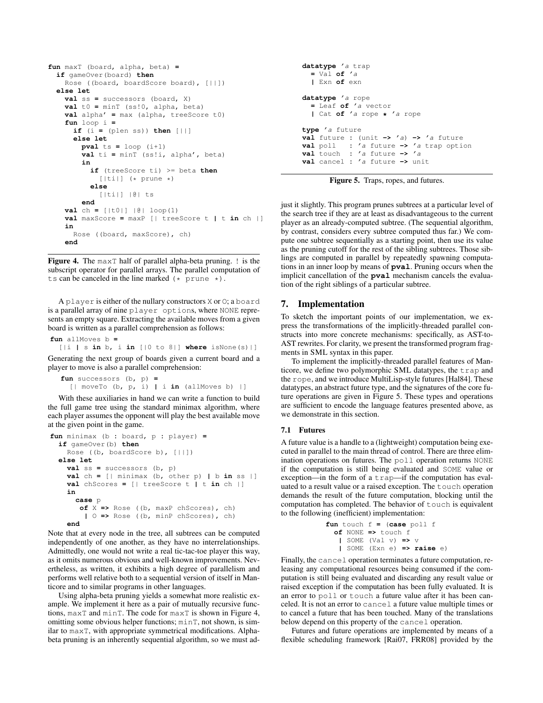```
fun maxT (board, alpha, beta) =
  if gameOver(board) then
    Rose ((board, boardScore board), [||])
  else let
    val ss = successors (board, X)
    val t0 = minT (ss!0, alpha, beta)
    val alpha' = max (alpha, treeScore t0)
    fun loop i =
      if (i = (plen ss)) then [||]
      else let
        pval ts = loop (i+1)
        val ti = minT (ss!i, alpha', beta)
        in
          if (treeScore ti) >= beta then
            [|ti|] (* prune *)
          else
            [|ti|] |@| ts
        end
    val ch = [|t0|] |0| loop(1)
    val maxScore = maxP [| treeScore t | t in ch |]
    in
      Rose ((board, maxScore), ch)
    end
```
Figure 4. The maxT half of parallel alpha-beta pruning. ! is the subscript operator for parallel arrays. The parallel computation of ts can be canceled in the line marked  $(* \text{ prime } *)$ .

A player is either of the nullary constructors X or O; a board is a parallel array of nine player options, where NONE represents an empty square. Extracting the available moves from a given board is written as a parallel comprehension as follows:

**fun** allMoves b **=** [|i **|** s **in** b, i **in** [|0 to 8|] **where** isNone(s)|]

Generating the next group of boards given a current board and a player to move is also a parallel comprehension:

**fun** successors (b, p) **=**  $[|$  moveTo  $(b, p, i) | i in (allMoves b) |]$ 

With these auxiliaries in hand we can write a function to build the full game tree using the standard minimax algorithm, where each player assumes the opponent will play the best available move at the given point in the game.

```
fun minimax (b : board, p : player) =
  if gameOver(b) then
    Rose ((b, boardScore b), [||])
  else let
    val ss = successors (b, p)
    val ch = \lceil \cdot \rceil minimax (b, other p) | b in ss | 1
    val chScores = [| treeScore t | t in ch |]
    in
      case p
       of X => Rose ((b, maxP chScores), ch)
        | O => Rose ((b, minP chScores), ch)
    end
```
Note that at every node in the tree, all subtrees can be computed independently of one another, as they have no interrelationships. Admittedly, one would not write a real tic-tac-toe player this way, as it omits numerous obvious and well-known improvements. Nevertheless, as written, it exhibits a high degree of parallelism and performs well relative both to a sequential version of itself in Manticore and to similar programs in other languages.

Using alpha-beta pruning yields a somewhat more realistic example. We implement it here as a pair of mutually recursive functions, maxT and minT. The code for maxT is shown in Figure 4, omitting some obvious helper functions; minT, not shown, is similar to maxT, with appropriate symmetrical modifications. Alphabeta pruning is an inherently sequential algorithm, so we must ad-

```
datatype 'a trap
  = Val of 'a
  | Exn of exn
datatype 'a rope
  = Leaf of 'a vector
  | Cat of 'a rope * 'a rope
type 'a future
val future : (unit -> 'a) -> 'a future
val poll : 'a future -> 'a trap option
val touch : 'a future -> 'a
val cancel : 'a future -> unit
```


just it slightly. This program prunes subtrees at a particular level of the search tree if they are at least as disadvantageous to the current player as an already-computed subtree. (The sequential algorithm, by contrast, considers every subtree computed thus far.) We compute one subtree sequentially as a starting point, then use its value as the pruning cutoff for the rest of the sibling subtrees. Those siblings are computed in parallel by repeatedly spawning computations in an inner loop by means of **pval**. Pruning occurs when the implicit cancellation of the **pval** mechanism cancels the evaluation of the right siblings of a particular subtree.

## 7. Implementation

To sketch the important points of our implementation, we express the transformations of the implicitly-threaded parallel constructs into more concrete mechanisms: specifically, as AST-to-AST rewrites. For clarity, we present the transformed program fragments in SML syntax in this paper.

To implement the implicitly-threaded parallel features of Manticore, we define two polymorphic SML datatypes, the trap and the rope, and we introduce MultiLisp-style futures [Hal84]. These datatypes, an abstract future type, and the signatures of the core future operations are given in Figure 5. These types and operations are sufficient to encode the language features presented above, as we demonstrate in this section.

#### 7.1 Futures

A future value is a handle to a (lightweight) computation being executed in parallel to the main thread of control. There are three elimination operations on futures. The poll operation returns NONE if the computation is still being evaluated and SOME value or exception—in the form of a trap—if the computation has evaluated to a result value or a raised exception. The touch operation demands the result of the future computation, blocking until the computation has completed. The behavior of touch is equivalent to the following (inefficient) implementation:

```
fun touch f = (case poll f
 of NONE => touch f
   | SOME (Val v) => v
   | SOME (Exn e) => raise e)
```
Finally, the cancel operation terminates a future computation, releasing any computational resources being consumed if the computation is still being evaluated and discarding any result value or raised exception if the computation has been fully evaluated. It is an error to poll or touch a future value after it has been canceled. It is not an error to cancel a future value multiple times or to cancel a future that has been touched. Many of the translations below depend on this property of the cancel operation.

Futures and future operations are implemented by means of a flexible scheduling framework [Rai07, FRR08] provided by the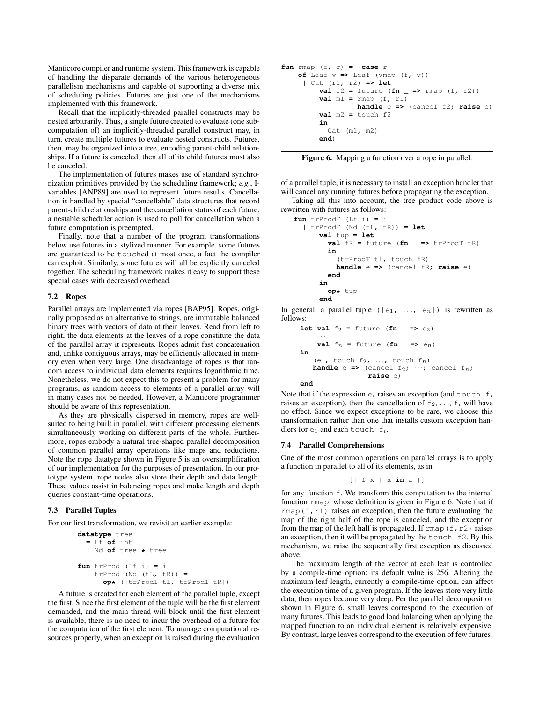Manticore compiler and runtime system. This framework is capable of handling the disparate demands of the various heterogeneous parallelism mechanisms and capable of supporting a diverse mix of scheduling policies. Futures are just one of the mechanisms implemented with this framework.

Recall that the implicitly-threaded parallel constructs may be nested arbitrarily. Thus, a single future created to evaluate (one subcomputation of) an implicitly-threaded parallel construct may, in turn, create multiple futures to evaluate nested constructs. Futures, then, may be organized into a tree, encoding parent-child relationships. If a future is canceled, then all of its child futures must also be canceled.

The implementation of futures makes use of standard synchronization primitives provided by the scheduling framework; *e.g.*, Ivariables [ANP89] are used to represent future results. Cancellation is handled by special "cancellable" data structures that record parent-child relationships and the cancellation status of each future; a nestable scheduler action is used to poll for cancellation when a future computation is preempted.

Finally, note that a number of the program transformations below use futures in a stylized manner. For example, some futures are guaranteed to be touched at most once, a fact the compiler can exploit. Similarly, some futures will all be explicitly canceled together. The scheduling framework makes it easy to support these special cases with decreased overhead.

#### 7.2 Ropes

Parallel arrays are implemented via ropes [BAP95]. Ropes, originally proposed as an alternative to strings, are immutable balanced binary trees with vectors of data at their leaves. Read from left to right, the data elements at the leaves of a rope constitute the data of the parallel array it represents. Ropes admit fast concatenation and, unlike contiguous arrays, may be efficiently allocated in memory even when very large. One disadvantage of ropes is that random access to individual data elements requires logarithmic time. Nonetheless, we do not expect this to present a problem for many programs, as random access to elements of a parallel array will in many cases not be needed. However, a Manticore programmer should be aware of this representation.

As they are physically dispersed in memory, ropes are wellsuited to being built in parallel, with different processing elements simultaneously working on different parts of the whole. Furthermore, ropes embody a natural tree-shaped parallel decomposition of common parallel array operations like maps and reductions. Note the rope datatype shown in Figure 5 is an oversimplification of our implementation for the purposes of presentation. In our prototype system, rope nodes also store their depth and data length. These values assist in balancing ropes and make length and depth queries constant-time operations.

#### 7.3 Parallel Tuples

For our first transformation, we revisit an earlier example:

```
datatype tree
 = Lf of int
  | Nd of tree * tree
fun trProd (Lf i) = i
  | trProd (Nd (tL, tR)) =
      op* (|trProd1 tL, trProd1 tR|)
```
A future is created for each element of the parallel tuple, except the first. Since the first element of the tuple will be the first element demanded, and the main thread will block until the first element is available, there is no need to incur the overhead of a future for the computation of the first element. To manage computational resources properly, when an exception is raised during the evaluation

```
fun rmap (f, r) = (case r
    of Leaf v \Rightarrow Leaf (vmap (f, v))
     | Cat (r1, r2) => let
         val f2 = future (fn _ => rmap (f, r2))
         val m1 = rmap (f, r1)
                  handle e => (cancel f2; raise e)
         val m2 = touch f2
         in
           Cat (m1, m2)
         end)
```


of a parallel tuple, it is necessary to install an exception handler that will cancel any running futures before propagating the exception.

Taking all this into account, the tree product code above is rewritten with futures as follows:

```
fun trProdT (Lf i) = i
     | trProdT (Nd (tL, tR)) = let
         val tup = let
            val fR = future (fn _ => trProdT tR)
            in
              (trProdT tl, touch fR)
              handle e => (cancel fR; raise e)
            end
          in
            op* tup
          end
In general, a parallel tuple (|e_1, ..., e_n|) is rewritten as
follows:
     let val f_2 = future (fn = \geq e_2)
```

```
· · ·
      val f_n = future (fn _ \Rightarrow e<sub>n</sub>)
in
    (e<sub>1</sub>, touch f_2, ..., touch f_n)
    handle e \Rightarrow (cancel f_2; \cdots; cancel f_n;
                        raise e)
```
**end**

Note that if the expression  $e_i$  raises an exception (and touch  $f_i$ ) raises an exception), then the cancellation of  $f_2, \ldots, f_i$  will have no effect. Since we expect exceptions to be rare, we choose this transformation rather than one that installs custom exception handlers for  $e_1$  and each touch  $f_i$ .

#### 7.4 Parallel Comprehensions

One of the most common operations on parallel arrays is to apply a function in parallel to all of its elements, as in

$$
[ \ \vert \ \ f \ x \ \vert \ x \ \text{in} \ a \ \vert \ ]
$$

for any function  $f$ . We transform this computation to the internal function rmap, whose definition is given in Figure 6. Note that if rmap  $(f, r1)$  raises an exception, then the future evaluating the map of the right half of the rope is canceled, and the exception from the map of the left half is propagated. If  $rmap(f,r2)$  raises an exception, then it will be propagated by the  $\text{touch } f2$ . By this mechanism, we raise the sequentially first exception as discussed above.

The maximum length of the vector at each leaf is controlled by a compile-time option; its default value is 256. Altering the maximum leaf length, currently a compile-time option, can affect the execution time of a given program. If the leaves store very little data, then ropes become very deep. Per the parallel decomposition shown in Figure 6, small leaves correspond to the execution of many futures. This leads to good load balancing when applying the mapped function to an individual element is relatively expensive. By contrast, large leaves correspond to the execution of few futures;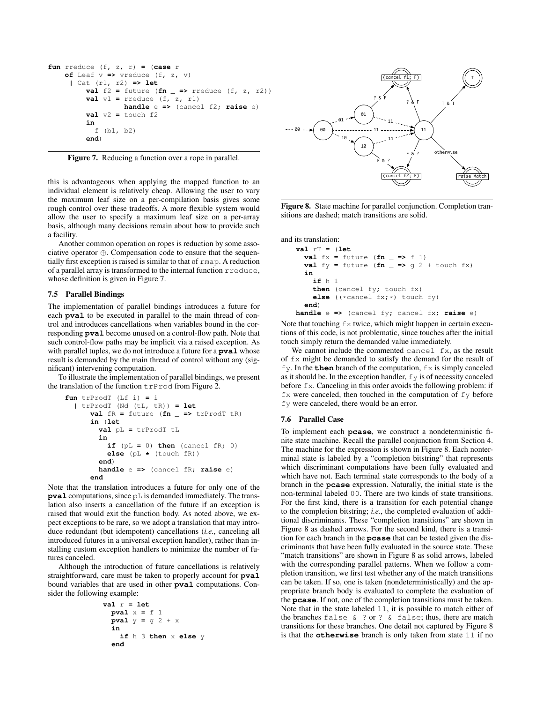```
fun rreduce (f, z, r) = (case r
    of Leaf v => vreduce (f, z, v)
     | Cat (r1, r2) => let
         val f2 = future (fn _ => rreduce (f, z, r2))
         val v1 = rreduce (f, z, r1)handle e => (cancel f2; raise e)
         val v2 = touch f2in
           f (b1, b2)
         end)
```
Figure 7. Reducing a function over a rope in parallel.

this is advantageous when applying the mapped function to an individual element is relatively cheap. Allowing the user to vary the maximum leaf size on a per-compilation basis gives some rough control over these tradeoffs. A more flexible system would allow the user to specify a maximum leaf size on a per-array basis, although many decisions remain about how to provide such a facility.

Another common operation on ropes is reduction by some associative operator ⊕. Compensation code to ensure that the sequentially first exception is raised is similar to that of rmap. A reduction of a parallel array is transformed to the internal function rreduce, whose definition is given in Figure 7.

#### 7.5 Parallel Bindings

The implementation of parallel bindings introduces a future for each **pval** to be executed in parallel to the main thread of control and introduces cancellations when variables bound in the corresponding **pval** become unused on a control-flow path. Note that such control-flow paths may be implicit via a raised exception. As with parallel tuples, we do not introduce a future for a **pval** whose result is demanded by the main thread of control without any (significant) intervening computation.

To illustrate the implementation of parallel bindings, we present the translation of the function trProd from Figure 2.

```
fun trProdT (Lf i) = i
  | trProdT (Nd (tL, tR)) = let
     val fR = future (fn _ => trProdT tR)
      in (let
       val pL = trProdT tL
       in
          if (pL = 0) then (cancel fR; 0)
          else (pL * (touch fR))
        end)
       handle e => (cancel fR; raise e)
      end
```
Note that the translation introduces a future for only one of the **pval** computations, since pL is demanded immediately. The translation also inserts a cancellation of the future if an exception is raised that would exit the function body. As noted above, we expect exceptions to be rare, so we adopt a translation that may introduce redundant (but idempotent) cancellations (*i.e.*, canceling all introduced futures in a universal exception handler), rather than installing custom exception handlers to minimize the number of futures canceled.

Although the introduction of future cancellations is relatively straightforward, care must be taken to properly account for **pval** bound variables that are used in other **pval** computations. Consider the following example:

```
\mathbf{val} \mathbf{r} = let
  pval x = f 1
  pval y = g 2 + xin
     if h 3 then x else y
  end
```


Figure 8. State machine for parallel conjunction. Completion transitions are dashed; match transitions are solid.

and its translation:

```
val rT = (let
  val fx = future (fn _ => f 1)
  val fy = future (fn = \text{?} q 2 + \text{touch fx})in
    if h 1
    then (cancel fy; touch fx)
    else ((*cancel fx;*) touch fy)
  end)
handle e => (cancel fy; cancel fx; raise e)
```
Note that touching  $f \times$  twice, which might happen in certain executions of this code, is not problematic, since touches after the initial touch simply return the demanded value immediately.

We cannot include the commented cancel fx, as the result of fx might be demanded to satisfy the demand for the result of  $f_y$ . In the **then** branch of the computation,  $f_x$  is simply canceled as it should be. In the exception handler,  $f(y)$  is of necessity canceled before fx. Canceling in this order avoids the following problem: if  $f$ x were canceled, then touched in the computation of  $f$ y before fy were canceled, there would be an error.

#### 7.6 Parallel Case

To implement each **pcase**, we construct a nondeterministic finite state machine. Recall the parallel conjunction from Section 4. The machine for the expression is shown in Figure 8. Each nonterminal state is labeled by a "completion bitstring" that represents which discriminant computations have been fully evaluated and which have not. Each terminal state corresponds to the body of a branch in the **pcase** expression. Naturally, the initial state is the non-terminal labeled 00. There are two kinds of state transitions. For the first kind, there is a transition for each potential change to the completion bitstring; *i.e.*, the completed evaluation of additional discriminants. These "completion transitions" are shown in Figure 8 as dashed arrows. For the second kind, there is a transition for each branch in the **pcase** that can be tested given the discriminants that have been fully evaluated in the source state. These "match transitions" are shown in Figure 8 as solid arrows, labeled with the corresponding parallel patterns. When we follow a completion transition, we first test whether any of the match transitions can be taken. If so, one is taken (nondeterministically) and the appropriate branch body is evaluated to complete the evaluation of the **pcase**. If not, one of the completion transitions must be taken. Note that in the state labeled 11, it is possible to match either of the branches false & ? or ? & false; thus, there are match transitions for these branches. One detail not captured by Figure 8 is that the **otherwise** branch is only taken from state 11 if no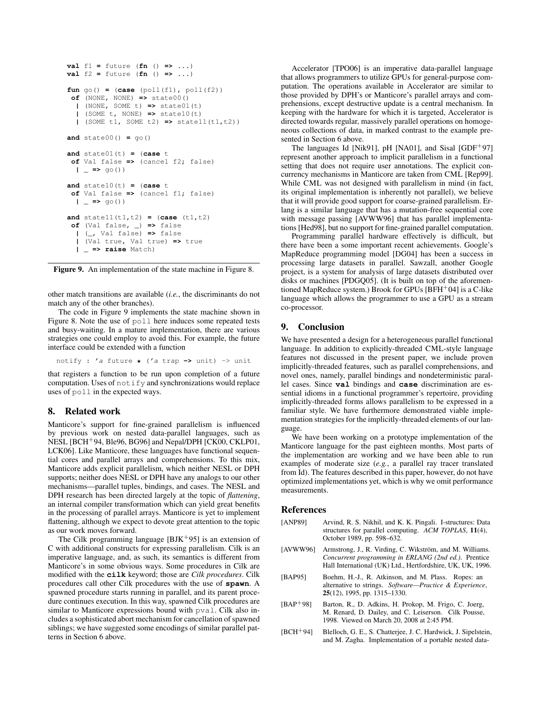```
val f1 = future (fn () => ...)
val f2 = future (fn () => ...)
fun go() = (case (poll(f1), poll(f2))
 of (NONE, NONE) => state00()
    | (NONE, SOME t) => state01(t)
    | (SOME t, NONE) => state10(t)
    | (SOME t1, SOME t2) => state11(t1,t2))
and state00() = go()and state01(t) = (case tof Val false => (cancel f2; false)
  | _ => go())
\text{and } \text{state10(t)} = (\text{case } t)of Val false => (cancel f1; false)
  | = \Rightarrow \text{go}(x)and state11(t1,t2) = (case (t1, t2))
of (Val false, _) => false
  | (_, Val false) => false
  | (Val true, Val true) => true
  | _ => raise Match)
```
Figure 9. An implementation of the state machine in Figure 8.

other match transitions are available (*i.e.*, the discriminants do not match any of the other branches).

The code in Figure 9 implements the state machine shown in Figure 8. Note the use of poll here induces some repeated tests and busy-waiting. In a mature implementation, there are various strategies one could employ to avoid this. For example, the future interface could be extended with a function

notify : 'a future **\*** ('a trap **->** unit) -> unit

that registers a function to be run upon completion of a future computation. Uses of notify and synchronizations would replace uses of poll in the expected ways.

#### 8. Related work

Manticore's support for fine-grained parallelism is influenced by previous work on nested data-parallel languages, such as NESL [BCH<sup>+</sup>94, Ble96, BG96] and Nepal/DPH [CK00, CKLP01, LCK06]. Like Manticore, these languages have functional sequential cores and parallel arrays and comprehensions. To this mix, Manticore adds explicit parallelism, which neither NESL or DPH supports; neither does NESL or DPH have any analogs to our other mechanisms—parallel tuples, bindings, and cases. The NESL and DPH research has been directed largely at the topic of *flattening*, an internal compiler transformation which can yield great benefits in the processing of parallel arrays. Manticore is yet to implement flattening, although we expect to devote great attention to the topic as our work moves forward.

The Cilk programming language  $[BJK^+95]$  is an extension of C with additional constructs for expressing parallelism. Cilk is an imperative language, and, as such, its semantics is different from Manticore's in some obvious ways. Some procedures in Cilk are modified with the **cilk** keyword; those are *Cilk procedures*. Cilk procedures call other Cilk procedures with the use of **spawn**. A spawned procedure starts running in parallel, and its parent procedure continues execution. In this way, spawned Cilk procedures are similar to Manticore expressions bound with pval. Cilk also includes a sophisticated abort mechanism for cancellation of spawned siblings; we have suggested some encodings of similar parallel patterns in Section 6 above.

Accelerator [TPO06] is an imperative data-parallel language that allows programmers to utilize GPUs for general-purpose computation. The operations available in Accelerator are similar to those provided by DPH's or Manticore's parallel arrays and comprehensions, except destructive update is a central mechanism. In keeping with the hardware for which it is targeted, Accelerator is directed towards regular, massively parallel operations on homogeneous collections of data, in marked contrast to the example presented in Section 6 above.

The languages Id [Nik91], pH [NA01], and Sisal  $[GDF^+97]$ represent another approach to implicit parallelism in a functional setting that does not require user annotations. The explicit concurrency mechanisms in Manticore are taken from CML [Rep99]. While CML was not designed with parallelism in mind (in fact, its original implementation is inherently not parallel), we believe that it will provide good support for coarse-grained parallelism. Erlang is a similar language that has a mutation-free sequential core with message passing [AVWW96] that has parallel implementations [Hed98], but no support for fine-grained parallel computation.

Programming parallel hardware effectively is difficult, but there have been a some important recent achievements. Google's MapReduce programming model [DG04] has been a success in processing large datasets in parallel. Sawzall, another Google project, is a system for analysis of large datasets distributed over disks or machines [PDGQ05]. (It is built on top of the aforementioned MapReduce system.) Brook for GPUs  $[BFH^+04]$  is a C-like language which allows the programmer to use a GPU as a stream co-processor.

# 9. Conclusion

We have presented a design for a heterogeneous parallel functional language. In addition to explicitly-threaded CML-style language features not discussed in the present paper, we include proven implicitly-threaded features, such as parallel comprehensions, and novel ones, namely, parallel bindings and nondeterministic parallel cases. Since **val** bindings and **case** discrimination are essential idioms in a functional programmer's repertoire, providing implicitly-threaded forms allows parallelism to be expressed in a familiar style. We have furthermore demonstrated viable implementation strategies for the implicitly-threaded elements of our language.

We have been working on a prototype implementation of the Manticore language for the past eighteen months. Most parts of the implementation are working and we have been able to run examples of moderate size (*e.g.*, a parallel ray tracer translated from Id). The features described in this paper, however, do not have optimized implementations yet, which is why we omit performance measurements.

#### References

- [ANP89] Arvind, R. S. Nikhil, and K. K. Pingali. I-structures: Data structures for parallel computing. *ACM TOPLAS*, 11(4), October 1989, pp. 598–632.
- [AVWW96] Armstrong, J., R. Virding, C. Wikström, and M. Williams. *Concurrent programming in ERLANG (2nd ed.)*. Prentice Hall International (UK) Ltd., Hertfordshire, UK, UK, 1996.
- [BAP95] Boehm, H.-J., R. Atkinson, and M. Plass. Ropes: an alternative to strings. *Software—Practice & Experience*, 25(12), 1995, pp. 1315–1330.
- [BAP+98] Barton, R., D. Adkins, H. Prokop, M. Frigo, C. Joerg, M. Renard, D. Dailey, and C. Leiserson. Cilk Pousse, 1998. Viewed on March 20, 2008 at 2:45 PM.
- [BCH<sup>+</sup>94] Blelloch, G. E., S. Chatterjee, J. C. Hardwick, J. Sipelstein, and M. Zagha. Implementation of a portable nested data-